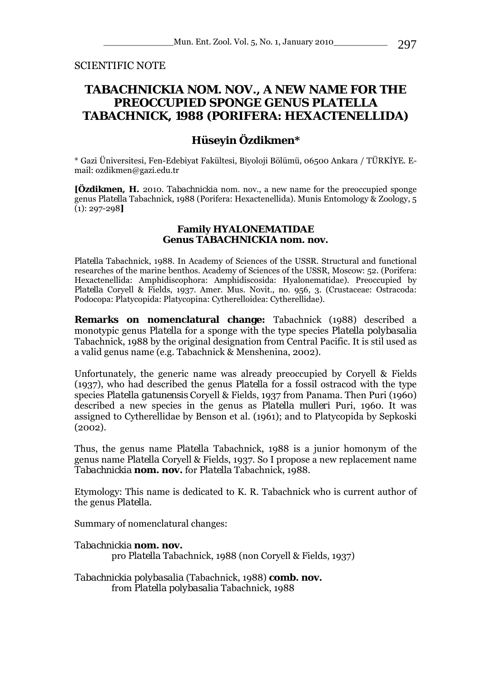SCIENTIFIC NOTE

## *TABACHNICKIA* **NOM. NOV., A NEW NAME FOR THE PREOCCUPIED SPONGE GENUS** *PLATELLA*  **TABACHNICK, 1988 (PORIFERA: HEXACTENELLIDA)**

## **Hüseyin Özdikmen\***

\* Gazi Üniversitesi, Fen-Edebiyat Fakültesi, Biyoloji Bölümü, 06500 Ankara / TÜRKİYE. Email: ozdikmen@gazi.edu.tr

**[Özdikmen, H.** 2010. *Tabachnickia* nom. nov., a new name for the preoccupied sponge genus *Platella* Tabachnick, 1988 (Porifera: Hexactenellida). Munis Entomology & Zoology, 5 (1): 297-298**]** 

## **Family HYALONEMATIDAE Genus** *TABACHNICKIA* **nom. nov.**

*Platella* Tabachnick, 1988. In Academy of Sciences of the USSR. Structural and functional researches of the marine benthos. Academy of Sciences of the USSR, Moscow: 52. (Porifera: Hexactenellida: Amphidiscophora: Amphidiscosida: Hyalonematidae). Preoccupied by *Platella* Coryell & Fields, 1937. Amer. Mus. Novit., no. 956, 3. (Crustaceae: Ostracoda: Podocopa: Platycopida: Platycopina: Cytherelloidea: Cytherellidae).

**Remarks on nomenclatural change:** Tabachnick (1988) described a monotypic genus *Platella* for a sponge with the type species *Platella polybasalia*  Tabachnick, 1988 by the original designation from Central Pacific. It is stil used as a valid genus name (e.g. Tabachnick & Menshenina, 2002).

Unfortunately, the generic name was already preoccupied by Coryell & Fields (1937), who had described the genus *Platella* for a fossil ostracod with the type species *Platella gatunensis* Coryell & Fields, 1937 from Panama. Then Puri (1960) described a new species in the genus as *Platella mulleri* Puri, 1960. It was assigned to Cytherellidae by Benson et al. (1961); and to Platycopida by Sepkoski (2002).

Thus, the genus name *Platella* Tabachnick, 1988 is a junior homonym of the genus name *Platella* Coryell & Fields, 1937. So I propose a new replacement name *Tabachnickia* **nom. nov.** for *Platella* Tabachnick, 1988.

Etymology: This name is dedicated to K. R. Tabachnick who is current author of the genus *Platella*.

Summary of nomenclatural changes:

*Tabachnickia* **nom. nov.**  pro *Platella* Tabachnick, 1988 (non Coryell & Fields, 1937)

*Tabachnickia polybasalia* (Tabachnick, 1988) **comb. nov.**  from *Platella polybasalia* Tabachnick, 1988